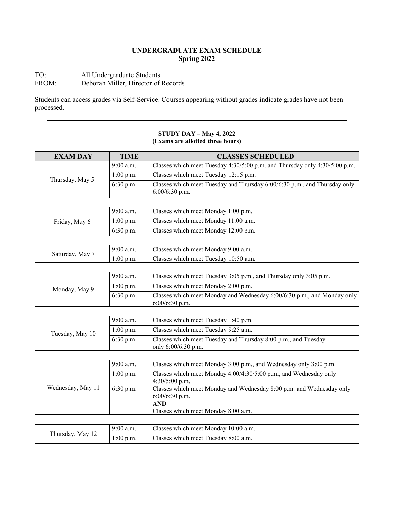## **UNDERGRADUATE EXAM SCHEDULE Spring 2022**

## TO: All Undergraduate Students<br>FROM: Deborah Miller, Director of Deborah Miller, Director of Records

Students can access grades via Self-Service. Courses appearing without grades indicate grades have not been processed.

| <b>EXAM DAY</b>   | <b>TIME</b> | <b>CLASSES SCHEDULED</b>                                                                                                                    |
|-------------------|-------------|---------------------------------------------------------------------------------------------------------------------------------------------|
| Thursday, May 5   | 9:00 a.m.   | Classes which meet Tuesday 4:30/5:00 p.m. and Thursday only 4:30/5:00 p.m.                                                                  |
|                   | 1:00 p.m.   | Classes which meet Tuesday 12:15 p.m.                                                                                                       |
|                   | 6:30 p.m.   | Classes which meet Tuesday and Thursday 6:00/6:30 p.m., and Thursday only<br>6:00/6:30 p.m.                                                 |
|                   |             |                                                                                                                                             |
| Friday, May 6     | 9:00 a.m.   | Classes which meet Monday 1:00 p.m.                                                                                                         |
|                   | 1:00 p.m.   | Classes which meet Monday 11:00 a.m.                                                                                                        |
|                   | 6:30 p.m.   | Classes which meet Monday 12:00 p.m.                                                                                                        |
|                   |             |                                                                                                                                             |
| Saturday, May 7   | 9:00 a.m.   | Classes which meet Monday 9:00 a.m.                                                                                                         |
|                   | $1:00$ p.m. | Classes which meet Tuesday 10:50 a.m.                                                                                                       |
|                   |             |                                                                                                                                             |
| Monday, May 9     | 9:00 a.m.   | Classes which meet Tuesday 3:05 p.m., and Thursday only 3:05 p.m.                                                                           |
|                   | 1:00 p.m.   | Classes which meet Monday 2:00 p.m.                                                                                                         |
|                   | 6:30 p.m.   | Classes which meet Monday and Wednesday 6:00/6:30 p.m., and Monday only<br>$6:00/6:30$ p.m.                                                 |
|                   |             |                                                                                                                                             |
| Tuesday, May 10   | 9:00 a.m.   | Classes which meet Tuesday 1:40 p.m.                                                                                                        |
|                   | 1:00 p.m.   | Classes which meet Tuesday 9:25 a.m.                                                                                                        |
|                   | 6:30 p.m.   | Classes which meet Tuesday and Thursday 8:00 p.m., and Tuesday<br>only 6:00/6:30 p.m.                                                       |
|                   |             |                                                                                                                                             |
| Wednesday, May 11 | 9:00 a.m.   | Classes which meet Monday 3:00 p.m., and Wednesday only 3:00 p.m.                                                                           |
|                   | 1:00 p.m.   | Classes which meet Monday 4:00/4:30/5:00 p.m., and Wednesday only<br>4:30/5:00 p.m.                                                         |
|                   | 6:30 p.m.   | Classes which meet Monday and Wednesday 8:00 p.m. and Wednesday only<br>6:00/6:30 p.m.<br><b>AND</b><br>Classes which meet Monday 8:00 a.m. |
|                   |             |                                                                                                                                             |
| Thursday, May 12  | $9:00$ a.m. | Classes which meet Monday 10:00 a.m.                                                                                                        |
|                   | $1:00$ p.m. | Classes which meet Tuesday 8:00 a.m.                                                                                                        |

#### **STUDY DAY – May 4, 2022 (Exams are allotted three hours)**